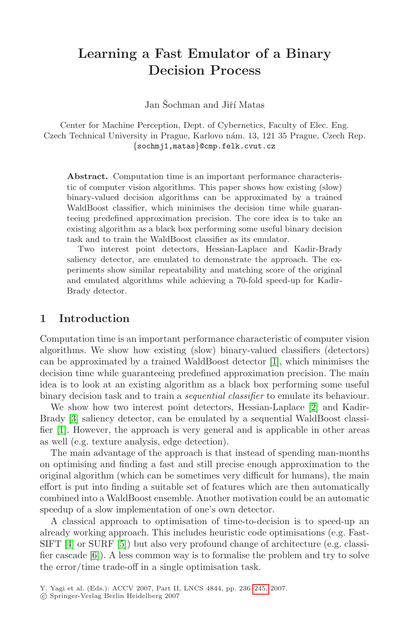# **Learning a Fast Emulator of a Binary Decision Process**

Jan Šochman and Jiří Matas

Center for Machine Perception, Dept. of Cybernetics, Faculty of Elec. Eng. Czech Technical University in Prague, Karlovo nám. 13, 121 35 Prague, Czech Rep.  $\{\verb|sochmj1,matas\}@cmp.felk.cvut.cz$ 

**Abstract.** Computation time is an important performance characteristic of computer vision algorithms. This paper shows how existing (slow) binary-valued decision algorithms can be approximated by a trained WaldBoost classifier, which minimises the decision time while guaranteeing predefined approximation precision. The core idea is to take an existing algorithm as a black box performing some useful binary decision task and to train the WaldBoost classifier as its emulator.

Two interest point detectors, Hessian-Laplace and Kadir-Brady saliency detector, are emulated to demonstrate the approach. The experiments show similar repeatab[ili](#page-9-0)ty and matching score of the original and emulated algorithms while achieving a 70-fold speed-up for Kadir-Brady detector.

#### **1 Introduction**

Computation time is an important performance characteristic of computer vision algorithms. We show how existing (slow) binary-valued classifiers (detectors) can be approximated by a trained WaldBoost detector [1], which minimises the decision time while guaranteeing predefined approximation precision. The main idea is to look at an existing algorithm as a black box performing some useful binary decision task and to train a sequential classifier to emulate its behaviour.

We show how two interest point detectors, Hessian-Laplace [2] and Kadir-Brady [3] saliency detector, can be emulated by a sequential WaldBoost classifier [1]. However, the approach is very general and is applicable in other areas as well (e.g. texture analysis, edge detection).

The main advantage of the approach is that instead of spending man-months [on](#page-9-1) optimising and finding a fast and still precise enough approximation to the original algorithm (which can be sometimes very difficult for humans), the main effort is put into finding a suitable set of features which are then automatically combined into a WaldBoost ense[mble](#page-9-2). Another motivation could be an automatic speedup of a slow implementation of one's own detector.

A classical approach to optimisation of time-to-decision is to speed-up an already working approach. This includes heuristic code optimisations (e.g. Fast-SIFT [4] or SURF [5]) but also very profound change of architecture (e.g. classifier cascade [6]). A less common way is to formalise the problem and try to solve the error/time trade-off in a single optimisation task.

Y. Yagi et al. (Eds.): ACCV 2007, Part II, LNCS 4844, pp. 236–245, 2007.

<sup>-</sup>c Springer-Verlag Berlin Heidelberg 2007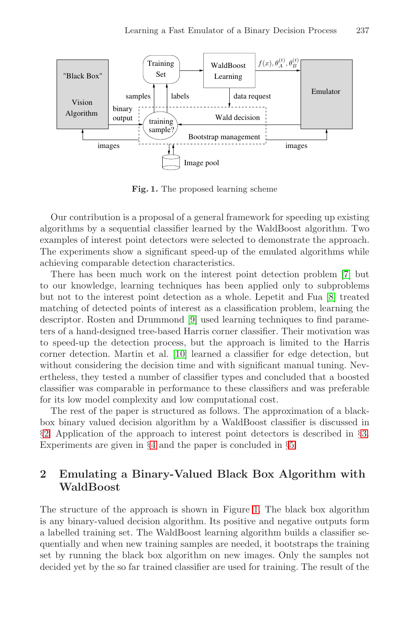<span id="page-1-0"></span>

**Fig. 1.** The proposed learning sch[em](#page-9-3)e

Our contribution is a proposal of a general fram[ew](#page-9-4)ork for speeding up existing algorithms by a [seq](#page-9-5)uential classifier learned by the WaldBoost algorithm. Two examples of interest point detectors were selected to demonstrate the approach. The experiments show a significant speed-up of the emulated algorithms while achieving co[mpa](#page-9-6)rable detection characteristics.

There has been much work on the interest point detection problem [7] but to our knowledge, learning techniques has been applied only to subproblems but not to the interest point detection as a whole. Lepetit and Fua [8] treated matching of detected points of interest as a classification problem, learning the descriptor. Rosten and Drummond [9] used learning techniques to find parameters of a hand-designed tree-based Harris corner classifier. Their motivation was to speed-up the detection process, but the approach is l[im](#page-3-0)ited to the Harris corner [de](#page-5-0)tection. Martin et al. [10] lear[ned](#page-8-0) a classifier for edge detection, but without considering the decision time and with significant manual tuning. Nevertheless, they tested a number of classifier types and concluded that a boosted classifier was comparable in performance to these classifiers and was preferable for its low model complexity and low computational cost.

The rest of the paper is structured as follows. The approximation of a blackbox binary valued decision algo[rit](#page-1-0)hm by a WaldBoost classifier is discussed in §2. Application of the approach to interest point detectors is described in §3. Experiments are given in §4 and the paper is concluded in §5.

# **2 Emulating a Binary-Valued Black Box Algorithm with WaldBoost**

The structure of the approach is shown in Figure 1. The black box algorithm is any binary-valued decision algorithm. Its positive and negative outputs form a labelled training set. The WaldBoost learning algorithm builds a classifier sequentially and when new training samples are needed, it bootstraps the training set by running the black box algorithm on new images. Only the samples not decided yet by the so far trained classifier are used for training. The result of the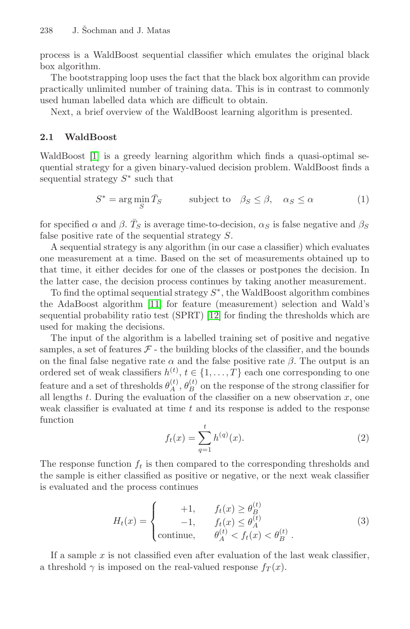#### $238$  J. Šochman and J. Matas

process is a WaldBoost sequential classifier which emulates the original black box algorithm.

The bootstrapping loop uses the fact that the black box algorithm can provide practically unlimited number of training data. This is in contrast to commonly used human labelled data which are difficult to obtain.

Next, a brief overview of the WaldBoost learning algorithm is presented.

#### **2.1 WaldBoost**

WaldBoost [1] is a greedy learning algorithm which finds a quasi-optimal sequential strategy for a given binary-valued decision problem. WaldBoost finds a sequential strategy  $S^*$  such that

$$
S^* = \arg\min_{S} \bar{T}_S \qquad \text{subject to} \quad \beta_S \le \beta, \quad \alpha_S \le \alpha \tag{1}
$$

for spe[cifie](#page-9-7)d  $\alpha$  and  $\beta$ .  $\bar{T}_S$  $\bar{T}_S$  $\bar{T}_S$  is average time-to-decision,  $\alpha_S$  is false negative and  $\beta_S$ false positive rate of the sequential strategy S.

A sequential strategy is any algorithm (in our case a classifier) which evaluates one measurement at a time. Based on the set of measurements obtained up to that time, it either decides for one of the classes or postpones the decision. In the latter case, the decision process continues by taking another measurement.

To find the optimal sequential strategy  $S^*$ , the WaldBoost algorithm combines the AdaBoost algorithm [11] for feature (measurement) selection and Wald's sequential probability ratio test (SPRT) [12] for finding the thresholds which are used for making the decisions.

The input of the algorithm is a labelled training set of positive and negative samples, a set of features  $\mathcal F$  - the building blocks of the classifier, and the bounds on the final false negative rate  $\alpha$  and the false positive rate  $\beta$ . The output is an ordered set of weak classifiers  $h^{(t)}, t \in \{1, ..., T\}$  each one corresponding to one feature and a set of thresholds  $\theta_A^{(t)}$ ,  $\theta_B^{(t)}$  on the response of the strong classifier for all lengths  $t$ . During the evaluation of the classifier on a new observation  $x$ , one weak classifier is evaluated at time  $t$  and its response is added to the response function

$$
f_t(x) = \sum_{q=1}^t h^{(q)}(x).
$$
 (2)

The response function  $f_t$  is then compared to the corresponding thresholds and the sample is either classified as positive or negative, or the next weak classifier is evaluated and the process continues

$$
H_t(x) = \begin{cases} +1, & f_t(x) \ge \theta_B^{(t)} \\ -1, & f_t(x) \le \theta_A^{(t)} \\ \text{continue}, & \theta_A^{(t)} < f_t(x) < \theta_B^{(t)} \end{cases} \tag{3}
$$

If a sample  $x$  is not classified even after evaluation of the last weak classifier, a threshold  $\gamma$  is imposed on the real-valued response  $f_T(x)$ .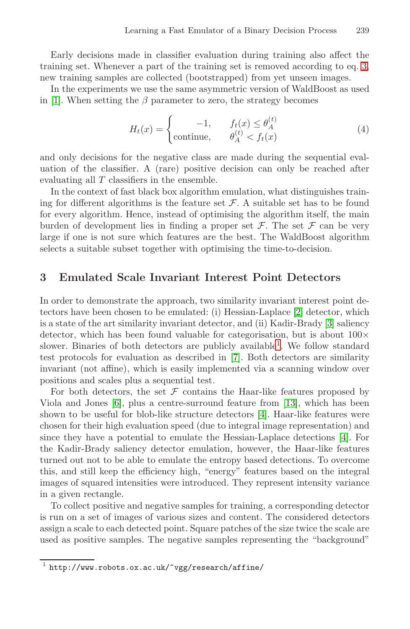Early decisions made in classifier evaluation during training also affect the training set. Whenever a part of the training set is removed according to eq. 3, new training samples are collected (bootstrapped) from yet unseen images.

In the experiments we use the same asymmetric version of WaldBoost as used in [1]. When setting the  $\beta$  parameter to zero, the strategy becomes

$$
H_t(x) = \begin{cases} -1, & f_t(x) \le \theta_A^{(t)} \\ \text{continue,} & \theta_A^{(t)} < f_t(x) \end{cases} \tag{4}
$$

and only decisions for the negative class are made during the sequential evaluation of the classifier. A (rare) positive decision can only be reached after evaluating all T classifiers in the ensemble.

<span id="page-3-0"></span>In the context of fast black box algorithm emulation, what distinguishes training for different algorithms is the feature set  $\mathcal F$ . A suitable set has to be found for every algorithm. Hence, instead of optimising the algorithm itself, the main burden of development lies in finding a p[ro](#page-9-9)per set  $\mathcal F$ . The set  $\mathcal F$  can be very large if one is not sure which features are the be[st.](#page-9-10) The WaldBoost algorithm selects a suitable subset together wit[h o](#page-3-1)ptimising the time-to-decision.

## **3 Emulated Scale [In](#page-9-3)variant Interest Point Detectors**

In order to demonstrate the approach, two similarity invariant interest point de[t](#page-9-11)ectors have been chosen to be emulated[: \(i\)](#page-9-12) Hessian-Laplace [2] detector, which is a state of the art similarity invar[ia](#page-9-13)nt detector, and (ii) Kadir-Brady [3] saliency detector, which has been found valuable for categorisation, but is about 100× slower. Binaries of both detectors are publicly avail[ab](#page-9-13)le<sup>1</sup>. We follow standard test protocols for evaluation as described in [7]. Both detectors are similarity invariant (not affine), which is easily implemented via a scanning window over positions and scales plus a sequential test.

For both detectors, the set  $\mathcal F$  contains the Haar-like features proposed by Viola and Jones [6], plus a centre-surround feature from [13], which has been shown to be useful for blob-like structure detectors [4]. Haar-like features were chosen for their high evaluation speed (due to integral image representation) and since they have a potential to emulate the Hessian-Laplace detections [4]. For the Kadir-Brady saliency detector emulation, however, the Haar-like features turned out not to be able to emulate the entropy based detections. To overcome this, and still keep the efficiency high, "energy" features based on the integral images of squared intensities were introduced. They represent intensity variance in a given rectangle.

<span id="page-3-1"></span>To collect positive and negative samples for training, a corresponding detector is run on a set of images of various sizes and content. The considered detectors assign a scale to each detected point. Square patches of the size twice the scale are used as positive samples. The negative samples representing the "background"

 $1$  http://www.robots.ox.ac.uk/~vgg/research/affine/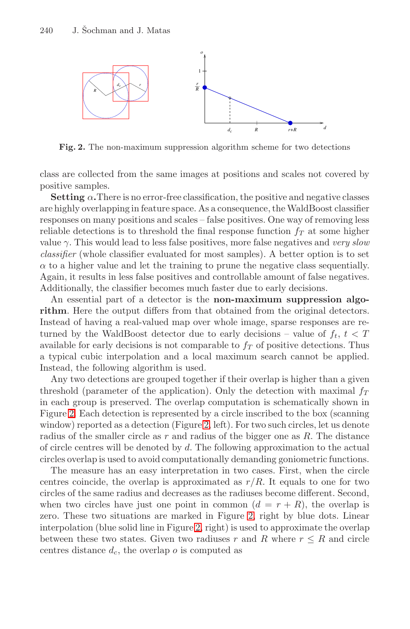<span id="page-4-0"></span>

**Fig. 2.** The non-maximum suppression algorithm scheme for two detections

class are collected from the same images at positions and scales not covered by positive samples.

**Setting**  $\alpha$ . There is no error-free classification, the positive and negative classes are highly overlappingin feature space. As a consequence, the WaldBoost classifier responses on many positions and scales – false positives. One way of removing less reliable detections is to threshold the final response function  $f<sub>T</sub>$  at some higher value  $\gamma$ . This would lead to less false positives, more false negatives and very slow classifier (whole classifier evaluated for most samples). A better option is to set  $\alpha$  to a higher value and let the training to prune the negative class sequentially. Again, it results in less false positives and controllable amount of false negatives. Additionally, the classifier becomes much faster due to early decisions.

An essential part of a detector is the **non-maximum suppression algorithm**. Here the output differs from that obtained from the original detectors. Instead of having a real-valued map over whole image, sparse responses are re-turned by the Wald[Bo](#page-4-0)ost detector due to early decisions – value of  $f_t$ ,  $t < T$ available for early decisions is not comparable to  $f<sub>T</sub>$  of positive detections. Thus a typical cubic interpolation and a local maximum search cannot be applied. Instead, the following algorithm is used.

Any two detections are grouped together if their overlap is higher than a given threshold (parameter of the application). Only the detection with maximal  $f_T$ in each group is preserved. The overlap computation is schematically shown in Figure 2. Each detection is represented by a circle inscribed to the box (scanning window) reported as a detectio[n \(F](#page-4-0)igure 2, left). For two such circles, let us denote radius of the smal[ler](#page-4-0) circle as r and radius of the bigger one as R. The distance of circle centres will be denoted by d. The following approximation to the actual circles overlap is used to avoid computationally demanding goniometric functions.

The measure has an easy interpretation in two cases. First, when the circle centres coincide, the overlap is approximated as  $r/R$ . It equals to one for two circles of the same radius and decreases as the radiuses become different. Second, when two circles have just one point in common  $(d = r + R)$ , the overlap is zero. These two situations are marked in Figure 2, right by blue dots. Linear interpolation (blue solid line in Figure 2, right) is used to approximate the overlap between these two states. Given two radiuses r and R where  $r \leq R$  and circle centres distance  $d_c$ , the overlap  $o$  is computed as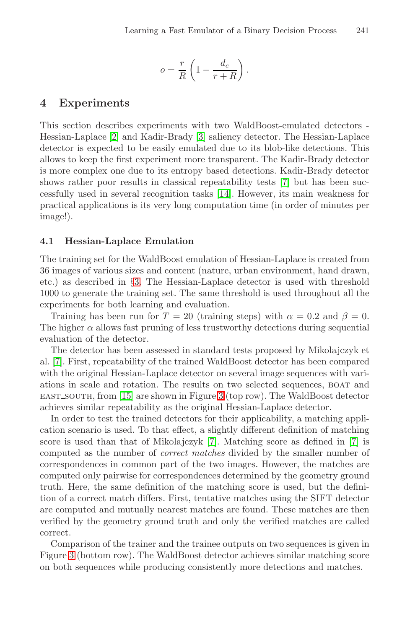$$
o = \frac{r}{R} \left( 1 - \frac{d_c}{r + R} \right).
$$

#### <span id="page-5-0"></span>**4 Experiments**

This section describes experiments with two WaldBoost-emulated detectors - Hessian-Laplace [2] and Kadir-Brady [3] saliency detector. The Hessian-Laplace detector is expected to be easily emulated due to its blob-like detections. This allows to keep the first experiment more transparent. The Kadir-Brady detector is more complex one due to its entropy based detections. Kadir-Brady detector shows rather poor results in classical repeatability tests [7] but has been succes[sfu](#page-3-0)lly used in several recognition tasks [14]. However, its main weakness for practical applications is its very long computation time (in order of minutes per image!).

#### **4.1 Hessian-Laplace Emulation**

The training set for the WaldBoost emulation of Hessian-Laplace is created from 36 images of various sizes and content (nature, urban environment, hand drawn, etc.) as described in §3. The Hessian-Laplace detector is used with threshold 1000 to generate the training set. The same threshold is used throughout all the [exp](#page-9-14)eriments for both le[ar](#page-6-0)ning and evaluation.

Training has been run for  $T = 20$  (training steps) with  $\alpha = 0.2$  and  $\beta = 0$ . The higher  $\alpha$  allows fast pruning of less trustworthy detections during sequential evaluation of the detector.

The detector has b[ee](#page-9-3)n assessed in standard tests pro[po](#page-9-3)sed by Mikolajczyk et al. [7]. First, repeatability of the trained WaldBoost detector has been compared with the original Hessian-Laplace detector on several image sequences with variations in scale and rotation. The results on two selected sequences, boat and east south, from [15] are shown in Figure 3 (top row). The WaldBoost detector achieves similar repeatability as the original Hessian-Laplace detector.

In order to test the trained detectors for their applicability, a matching application scenario is used. To that effect, a slightly different definition of matching score is used than that of Mikolajczyk [7]. Matching score as defined in [7] is computed as the number of correct matches divided by the smaller number of correspondences in common part of the two images. However, the matches are computed only pairwise for correspondences determined by the geometry ground truth. Here, the same definition of the matching score is used, but the definition of a correct match differs. First, tentative matches using the SIFT detector are computed and mutually nearest matches are found. These matches are then verified by the geometry ground truth and only the verified matches are called correct.

Comparison of the trainer and the trainee outputs on two sequences is given in Figure 3 (bottom row). The WaldBoost detector achieves similar matching score on both sequences while producing consistently more detections and matches.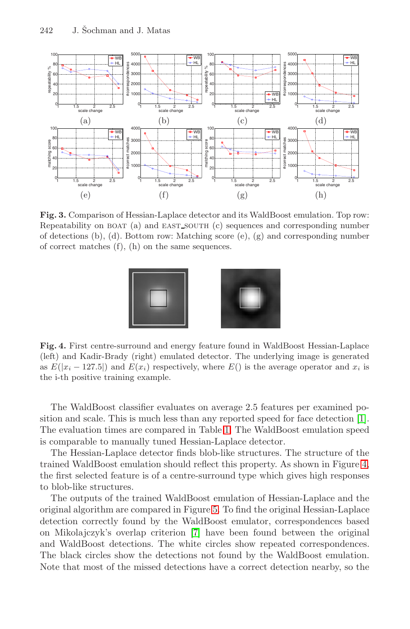

<span id="page-6-0"></span>**Fig. 3.** Comparison of Hessian-Laplace detector and its WaldBoost emulation. Top row: Repeatability on boat (a) and east south (c) sequences and corresponding number of detections (b), (d). Bottom row: Matching score (e), (g) and corresponding number of correct matches (f), (h) on the same sequences.



**Fig. 4.** First centre-surrou[nd](#page-8-1) and energy feature found in WaldBoost Hessian-Laplace (left) and Kadir-Brady (right) emulated detector. The underlying image is generated as  $E(|x_i - 127.5|)$  and  $E(x_i)$  respectively, where  $E()$  is the average operator and  $x_i$  is the i-th positive training example.

The WaldBoost classifier evaluates on average 2.5 features per examined position and scale. This i[s m](#page-7-0)uch less than any reported speed for face detection [1]. The evaluation times are compared in Table 1. The WaldBoost emulation speed is comparable to [ma](#page-9-3)nually tuned Hessian-Laplace detector.

The Hessian-Laplace detector finds blob-like structures. The structure of the trained WaldBoost emulation should reflect this property. As shown in Figure 4, the first selected feature is of a centre-surround type which gives high responses to blob-like structures.

The outputs of the trained WaldBoost emulation of Hessian-Laplace and the original algorithm are compared in Figure 5. To find the original Hessian-Laplace detection correctly found by the WaldBoost emulator, correspondences based on Mikolajczyk's overlap criterion [7] have been found between the original and WaldBoost detections. The white circles show repeated correspondences. The black circles show the detections not found by the WaldBoost emulation. Note that most of the missed detections have a correct detection nearby, so the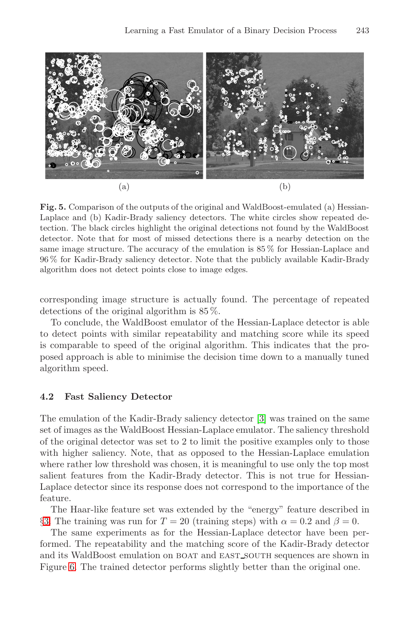<span id="page-7-0"></span>

**Fig. 5.** Comparison of the outputs of the original and WaldBoost-emulated (a) Hessian-Laplace and (b) Kadir-Brady saliency detectors. The white circles show repeated detection. The black circles highlight the original detections not found by the WaldBoost detector. Note that for most of missed detections there is a nearby detection on the same image structure. The accuracy of the emulation is 85 % for Hessian-Laplace and 96 % for Kadir-Brady saliency detector. Note that the publicly available Kadir-Brady algorithm does not detect points close to image edges.

corresponding image structure is actually found. The percentage of repeated detections of the original algorithm is 85%.

To conclude, the WaldBoost emulator of the Hessian-Laplace detector is able to detect points with similar rep[ea](#page-9-10)tability and matching score while its speed is comparable to speed of the original algorithm. This indicates that the proposed approach is able to minimise the decision time down to a manually tuned algorithm speed.

#### **4.2 Fast Saliency Detector**

The emulation of the Kadir-Brady saliency detector [3] was trained on the same set of images as the WaldBoost Hessian-Laplace emulator. The saliency threshold of the original detector was set to 2 to limit the positive examples only to those with higher saliency. Note, that as opposed to the Hessian-Laplace emulation where rather low threshold was chosen, it is meaningful to use only the top most salient features from the Kadir-Brady detector. This is not true for Hessian-Laplace detector since its response does not correspond to the importance of the feature.

The Haar-like feature set was extended by the "energy" feature described in §3. The training was run for  $T = 20$  (training steps) with  $\alpha = 0.2$  and  $\beta = 0$ .

The same experiments as for the Hessian-Laplace detector have been performed. The repeatability and the matching score of the Kadir-Brady detector and its WaldBoost emulation on boat and east south sequences are shown in Figure 6. The trained detector performs slightly better than the original one.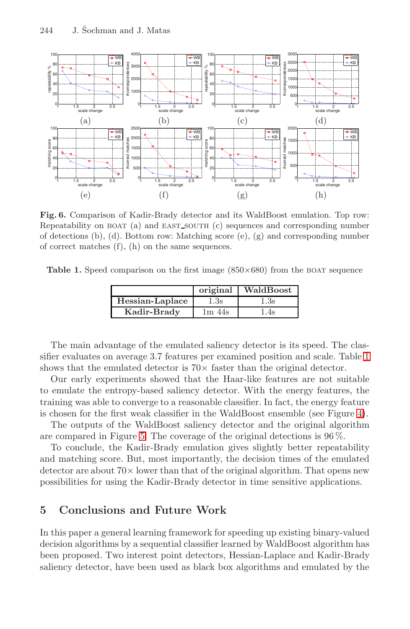

<span id="page-8-1"></span>**Fig. 6.** Comparison of Kadir-Brady detector and its WaldBoost emulation. Top row: Repeatability on boat (a) and east south (c) sequences and corresponding number of detections (b), (d). Bottom row: Matching score (e), (g) and corresponding number of correct matches (f), (h) on the same sequences.

**Table 1.** Speed comparison on the first image  $(850 \times 680)$  fro[m t](#page-8-1)he BOAT sequence

|                 | original        | WaldBoost |
|-----------------|-----------------|-----------|
| Hessian-Laplace | $1.3\mathrm{s}$ | 1.3s      |
| Kadir-Brady     | 1m 44s          | .4s       |

T[he](#page-7-0) main advantage of the emulated saliency detector is its speed. The classifier evaluates on average 3.7 features per examined position and scale. Table 1 shows that the emulated detector is  $70\times$  faster than the original detector.

Our early experiments showed that the Haar-like features are not suitable to emulate the entropy-based saliency detector. With the energy features, the training was able to converge to a reasonable classifier. In fact, the energy feature is chosen for the first weak classifier in the WaldBoost ensemble (see Figure 4).

<span id="page-8-0"></span>The outputs of the WaldBoost saliency detector and the original algorithm are compared in Figure 5. The coverage of the original detections is 96%.

To conclude, the Kadir-Brady emulation gives slightly better repeatability and matching score. But, most importantly, the decision times of the emulated detector are about  $70\times$  lower than that of the original algorithm. That opens new possibilities for using the Kadir-Brady detector in time sensitive applications.

#### **5 Conclusions and Future Work**

In this paper a general learning framework for speeding up existing binary-valued decision algorithms by a sequential classifier learned by WaldBoost algorithm has been proposed. Two interest point detectors, Hessian-Laplace and Kadir-Brady saliency detector, have been used as black box algorithms and emulated by the